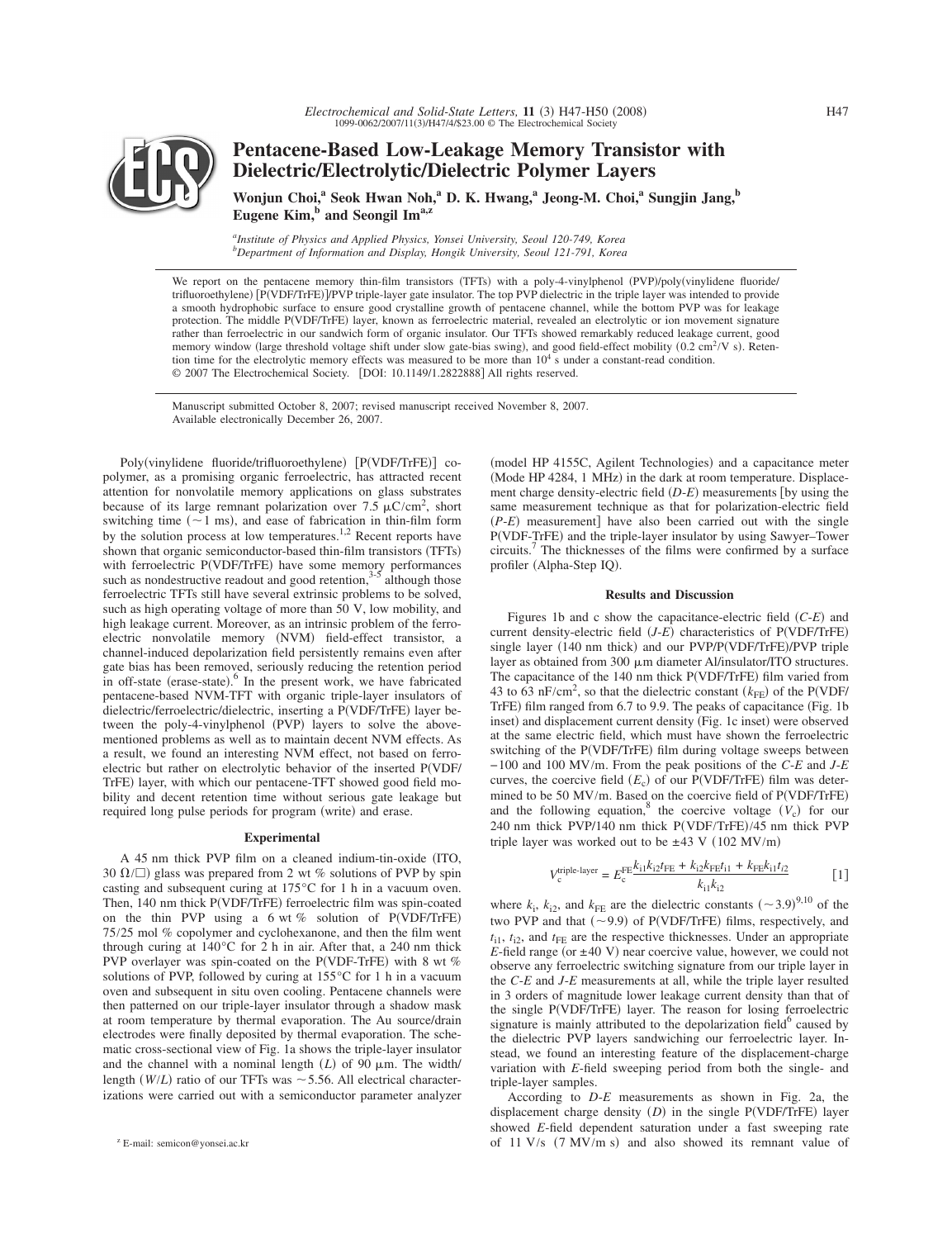

# **Pentacene-Based Low-Leakage Memory Transistor with Dielectric/Electrolytic/Dielectric Polymer Layers**

Wonjun Choi,<sup>a</sup> Seok Hwan Noh,<sup>a</sup> D. K. Hwang,<sup>a</sup> Jeong-M. Choi,<sup>a</sup> Sungjin Jang,<sup>b</sup> Eugene Kim,<sup>b</sup> and Seongil Im<sup>a,z</sup>

*a Institute of Physics and Applied Physics, Yonsei University, Seoul 120-749, Korea b Department of Information and Display, Hongik University, Seoul 121-791, Korea*

We report on the pentacene memory thin-film transistors (TFTs) with a poly-4-vinylphenol (PVP)/poly(vinylidene fluoride/ trifluoroethylene) [P(VDF/TrFE)]/PVP triple-layer gate insulator. The top PVP dielectric in the triple layer was intended to provide a smooth hydrophobic surface to ensure good crystalline growth of pentacene channel, while the bottom PVP was for leakage protection. The middle P(VDF/TrFE) layer, known as ferroelectric material, revealed an electrolytic or ion movement signature rather than ferroelectric in our sandwich form of organic insulator. Our TFTs showed remarkably reduced leakage current, good memory window (large threshold voltage shift under slow gate-bias swing), and good field-effect mobility (0.2 cm<sup>2</sup>/V s). Retention time for the electrolytic memory effects was measured to be more than  $10<sup>4</sup>$  s under a constant-read condition. © 2007 The Electrochemical Society. [DOI: 10.1149/1.2822888] All rights reserved.

Manuscript submitted October 8, 2007; revised manuscript received November 8, 2007. Available electronically December 26, 2007.

Poly(vinylidene fluoride/trifluoroethylene) [P(VDF/TrFE)] copolymer, as a promising organic ferroelectric, has attracted recent attention for nonvolatile memory applications on glass substrates because of its large remnant polarization over 7.5  $\mu$ C/cm<sup>2</sup>, short switching time  $(\sim 1 \text{ ms})$ , and ease of fabrication in thin-film form by the solution process at low temperatures.<sup>1,2</sup> Recent reports have shown that organic semiconductor-based thin-film transistors (TFTs) with ferroelectric P(VDF/TrFE) have some memory performances such as nondestructive readout and good retention, $3-5$  although those ferroelectric TFTs still have several extrinsic problems to be solved, such as high operating voltage of more than 50 V, low mobility, and high leakage current. Moreover, as an intrinsic problem of the ferroelectric nonvolatile memory (NVM) field-effect transistor, a channel-induced depolarization field persistently remains even after gate bias has been removed, seriously reducing the retention period in off-state (erase-state). $\frac{6}{5}$  In the present work, we have fabricated pentacene-based NVM-TFT with organic triple-layer insulators of dielectric/ferroelectric/dielectric, inserting a P(VDF/TrFE) layer between the poly-4-vinylphenol (PVP) layers to solve the abovementioned problems as well as to maintain decent NVM effects. As a result, we found an interesting NVM effect, not based on ferroelectric but rather on electrolytic behavior of the inserted PVDF/ TrFE) layer, with which our pentacene-TFT showed good field mobility and decent retention time without serious gate leakage but required long pulse periods for program (write) and erase.

### **Experimental**

A 45 nm thick PVP film on a cleaned indium-tin-oxide (ITO, 30  $\Omega/\square$ ) glass was prepared from 2 wt % solutions of PVP by spin casting and subsequent curing at 175°C for 1 h in a vacuum oven. Then, 140 nm thick P(VDF/TrFE) ferroelectric film was spin-coated on the thin PVP using a 6 wt % solution of P(VDF/TrFE) 75/25 mol % copolymer and cyclohexanone, and then the film went through curing at 140°C for 2 h in air. After that, a 240 nm thick PVP overlayer was spin-coated on the P(VDF-TrFE) with 8 wt  $%$ solutions of PVP, followed by curing at 155°C for 1 h in a vacuum oven and subsequent in situ oven cooling. Pentacene channels were then patterned on our triple-layer insulator through a shadow mask at room temperature by thermal evaporation. The Au source/drain electrodes were finally deposited by thermal evaporation. The schematic cross-sectional view of Fig. 1a shows the triple-layer insulator and the channel with a nominal length  $(L)$  of 90  $\mu$ m. The width/ length  $(W/L)$  ratio of our TFTs was  $\sim$  5.56. All electrical characterizations were carried out with a semiconductor parameter analyzer

(model HP 4155C, Agilent Technologies) and a capacitance meter (Mode HP 4284, 1 MHz) in the dark at room temperature. Displacement charge density-electric field (D-E) measurements [by using the same measurement technique as that for polarization-electric field  $(P-E)$  measurement] have also been carried out with the single P(VDF-TrFE) and the triple-layer insulator by using Sawyer-Tower circuits.7 The thicknesses of the films were confirmed by a surface profiler (Alpha-Step IQ).

## **Results and Discussion**

Figures 1b and c show the capacitance-electric field (C-*E*) and current density-electric field (*J-E*) characteristics of P(VDF/TrFE) single layer (140 nm thick) and our PVP/P(VDF/TrFE)/PVP triple layer as obtained from 300  $\mu$ m diameter Al/insulator/ITO structures. The capacitance of the 140 nm thick P(VDF/TrFE) film varied from 43 to 63 nF/cm<sup>2</sup>, so that the dielectric constant  $(k_{FE})$  of the P(VDF/ TrFE) film ranged from 6.7 to 9.9. The peaks of capacitance (Fig. 1b inset) and displacement current density (Fig. 1c inset) were observed at the same electric field, which must have shown the ferroelectric switching of the P(VDF/TrFE) film during voltage sweeps between −100 and 100 MV/m. From the peak positions of the *C*-*E* and *J*-*E* curves, the coercive field  $(E_c)$  of our P(VDF/TrFE) film was determined to be 50 MV/m. Based on the coercive field of P(VDF/TrFE) and the following equation,<sup>8</sup> the coercive voltage  $(V_c)$  for our 240 nm thick PVP/140 nm thick P(VDF/TrFE)/45 nm thick PVP triple layer was worked out to be  $\pm 43$  V (102 MV/m)

$$
V_c^{\text{triple-layer}} = E_c^{\text{FE}} \frac{k_{11} k_{12} t_{\text{FE}} + k_{12} k_{\text{FE}} t_{11} + k_{\text{FE}} k_{11} t_{12}}{k_{11} k_{12}} \tag{1}
$$

where  $k_i$ ,  $k_{i2}$ , and  $k_{FE}$  are the dielectric constants  $({\sim}3.9)^{9,10}$  of the two PVP and that  $(\sim 9.9)$  of P(VDF/TrFE) films, respectively, and  $t_{i1}$ ,  $t_{i2}$ , and  $t_{FE}$  are the respective thicknesses. Under an appropriate  $E$ -field range (or  $\pm 40$  V) near coercive value, however, we could not observe any ferroelectric switching signature from our triple layer in the *C*-*E* and *J*-*E* measurements at all, while the triple layer resulted in 3 orders of magnitude lower leakage current density than that of the single P(VDF/TrFE) layer. The reason for losing ferroelectric signature is mainly attributed to the depolarization field $6$  caused by the dielectric PVP layers sandwiching our ferroelectric layer. Instead, we found an interesting feature of the displacement-charge variation with *E*-field sweeping period from both the single- and triple-layer samples.

According to *D*-*E* measurements as shown in Fig. 2a, the displacement charge density  $(D)$  in the single  $P(VDF/TrFE)$  layer showed *E*-field dependent saturation under a fast sweeping rate E-mail: semicon@yonsei.ac.kr of 11 V/s  $(7 \text{ MV/m s})$  and also showed its remnant value of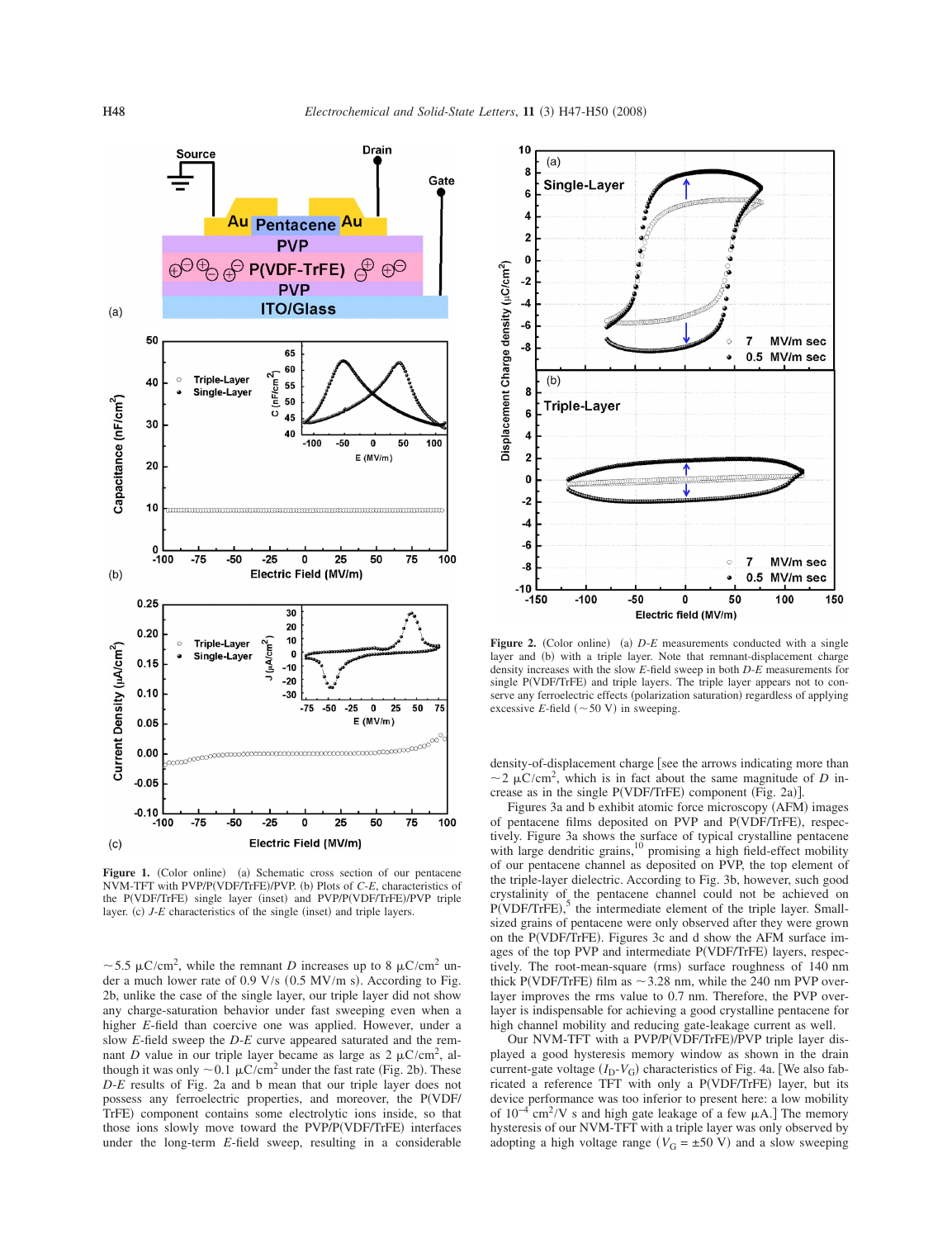

Figure 1. (Color online) (a) Schematic cross section of our pentacene NVM-TFT with PVP/P(VDF/TrFE)/PVP. (b) Plots of C-*E*, characteristics of the P(VDF/TrFE) single layer (inset) and PVP/P(VDF/TrFE)/PVP triple layer. (c)  $J$ - $E$  characteristics of the single (inset) and triple layers.

 $\sim$  5.5  $\mu$ C/cm<sup>2</sup>, while the remnant *D* increases up to 8  $\mu$ C/cm<sup>2</sup> under a much lower rate of 0.9 V/s (0.5 MV/m s). According to Fig. 2b, unlike the case of the single layer, our triple layer did not show any charge-saturation behavior under fast sweeping even when a higher *E*-field than coercive one was applied. However, under a slow *E*-field sweep the *D*-*E* curve appeared saturated and the remnant *D* value in our triple layer became as large as  $2 \mu C/cm^2$ , although it was only  $\sim 0.1 \mu C/cm^2$  under the fast rate (Fig. 2b). These *D*-*E* results of Fig. 2a and b mean that our triple layer does not possess any ferroelectric properties, and moreover, the PVDF/ TrFE) component contains some electrolytic ions inside, so that those ions slowly move toward the PVP/P(VDF/TrFE) interfaces under the long-term *E*-field sweep, resulting in a considerable



**Figure 2.** (Color online) (a) D-*E* measurements conducted with a single layer and (b) with a triple layer. Note that remnant-displacement charge density increases with the slow *E*-field sweep in both *D*-*E* measurements for single P(VDF/TrFE) and triple layers. The triple layer appears not to conserve any ferroelectric effects (polarization saturation) regardless of applying excessive *E*-field  $({\sim}50 \text{ V})$  in sweeping.

density-of-displacement charge [see the arrows indicating more than  $\sim$  2  $\mu$ C/cm<sup>2</sup>, which is in fact about the same magnitude of *D* increase as in the single  $P(VDF/TrFE)$  component (Fig. 2a)].

Figures 3a and b exhibit atomic force microscopy (AFM) images of pentacene films deposited on PVP and P(VDF/TrFE), respectively. Figure 3a shows the surface of typical crystalline pentacene<br>with large dendritic grains,<sup>10</sup> promising a high field-effect mobility of our pentacene channel as deposited on PVP, the top element of the triple-layer dielectric. According to Fig. 3b, however, such good crystalinity of the pentacene channel could not be achieved on  $P(VDF/TrFE)$ ,<sup>5</sup> the intermediate element of the triple layer. Smallsized grains of pentacene were only observed after they were grown on the P(VDF/TrFE). Figures 3c and d show the AFM surface images of the top PVP and intermediate P(VDF/TrFE) layers, respectively. The root-mean-square (rms) surface roughness of 140 nm thick P(VDF/TrFE) film as  $\sim$  3.28 nm, while the 240 nm PVP overlayer improves the rms value to 0.7 nm. Therefore, the PVP overlayer is indispensable for achieving a good crystalline pentacene for high channel mobility and reducing gate-leakage current as well.

Our NVM-TFT with a PVP/P(VDF/TrFE)/PVP triple layer displayed a good hysteresis memory window as shown in the drain current-gate voltage  $(I_D - V_G)$  characteristics of Fig. 4a. [We also fabricated a reference TFT with only a P(VDF/TrFE) layer, but its device performance was too inferior to present here: a low mobility of  $10^{-4}$  cm<sup>2</sup>/V s and high gate leakage of a few  $\mu$ A.] The memory hysteresis of our NVM-TFT with a triple layer was only observed by adopting a high voltage range  $(V_G = \pm 50 \text{ V})$  and a slow sweeping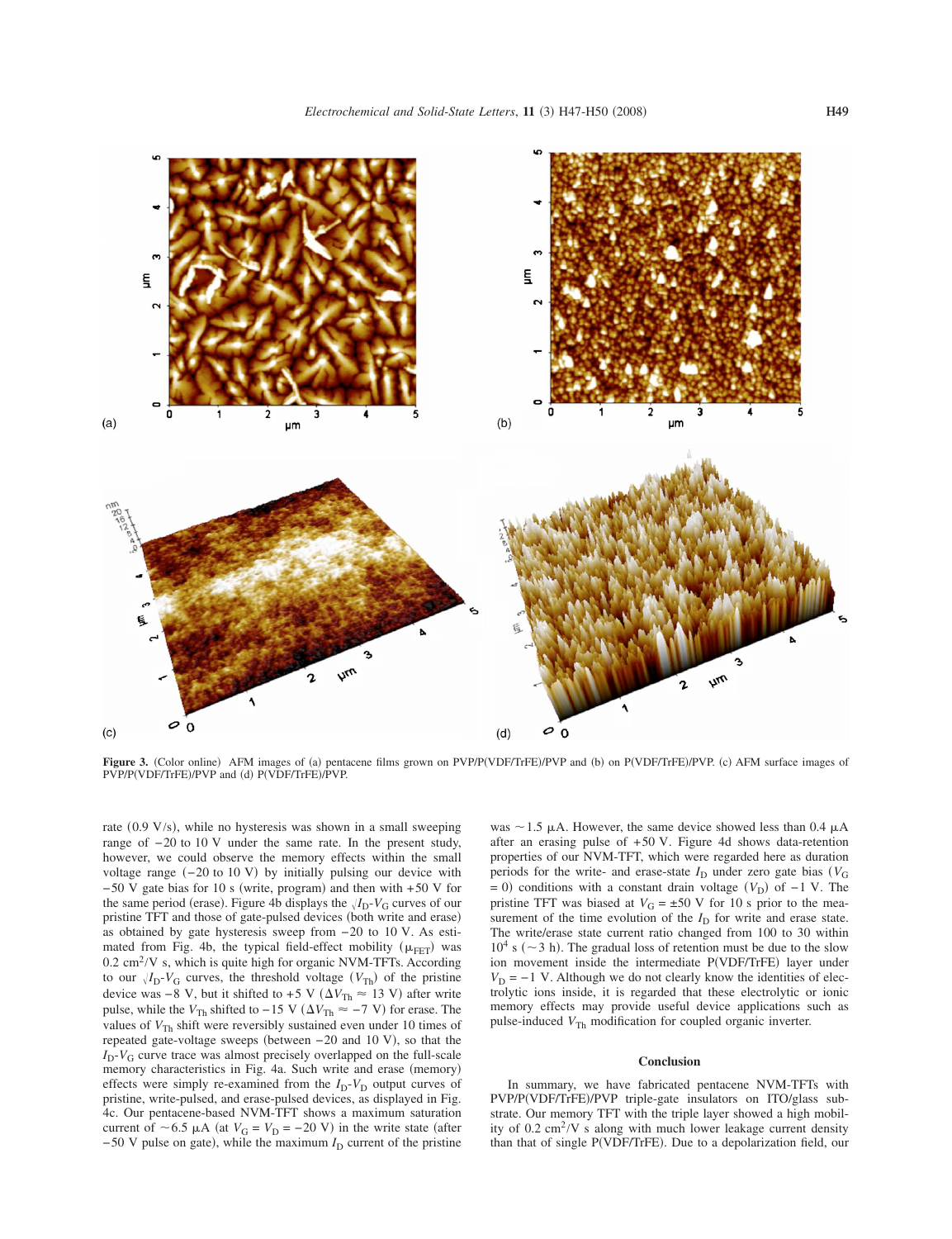

**Figure 3.** (Color online) AFM images of (a) pentacene films grown on PVP/P(VDF/TrFE)/PVP and (b) on P(VDF/TrFE)/PVP. (c) AFM surface images of PVP/P(VDF/TrFE)/PVP and (d) P(VDF/TrFE)/PVP.

rate (0.9 V/s), while no hysteresis was shown in a small sweeping range of −20 to 10 V under the same rate. In the present study, however, we could observe the memory effects within the small voltage range  $(-20 \text{ to } 10 \text{ V})$  by initially pulsing our device with  $-50$  V gate bias for 10 s (write, program) and then with +50 V for the same period (erase). Figure 4b displays the  $\sqrt{I_D-V_G}$  curves of our pristine TFT and those of gate-pulsed devices (both write and erase) as obtained by gate hysteresis sweep from −20 to 10 V. As estimated from Fig. 4b, the typical field-effect mobility  $(\mu_{\text{FET}})$  was  $0.2 \text{ cm}^2$ /V s, which is quite high for organic NVM-TFTs. According to our  $\sqrt{I_D-V_G}$  curves, the threshold voltage  $(V_{Th})$  of the pristine device was  $-8$  V, but it shifted to  $+5$  V ( $\Delta V_{\text{Th}} \approx 13$  V) after write pulse, while the  $V_{\text{Th}}$  shifted to −15 V ( $\Delta V_{\text{Th}} \approx -7$  V) for erase. The values of  $V_{\text{Th}}$  shift were reversibly sustained even under 10 times of repeated gate-voltage sweeps (between  $-20$  and  $10 \text{ V}$ ), so that the  $I_D$ - $V_G$  curve trace was almost precisely overlapped on the full-scale memory characteristics in Fig. 4a. Such write and erase (memory) effects were simply re-examined from the  $I_D-V_D$  output curves of pristine, write-pulsed, and erase-pulsed devices, as displayed in Fig. 4c. Our pentacene-based NVM-TFT shows a maximum saturation current of  $\sim 6.5 \mu A$  (at  $V_G = V_D = -20 \text{ V}$ ) in the write state (after −50 V pulse on gate), while the maximum *I*<sub>D</sub> current of the pristine

was  $\sim$  1.5  $\mu$ A. However, the same device showed less than 0.4  $\mu$ A after an erasing pulse of +50 V. Figure 4d shows data-retention properties of our NVM-TFT, which were regarded here as duration periods for the write- and erase-state  $I_D$  under zero gate bias  $(V_G)$  $= 0$ ) conditions with a constant drain voltage  $(V_D)$  of  $-1$  V. The pristine TFT was biased at  $V_G = \pm 50$  V for 10 s prior to the measurement of the time evolution of the  $I_D$  for write and erase state. The write/erase state current ratio changed from 100 to 30 within  $10^4$  s ( $\sim$  3 h). The gradual loss of retention must be due to the slow ion movement inside the intermediate P(VDF/TrFE) layer under  $V_D = -1$  V. Although we do not clearly know the identities of electrolytic ions inside, it is regarded that these electrolytic or ionic memory effects may provide useful device applications such as pulse-induced  $V_{\text{Th}}$  modification for coupled organic inverter.

## **Conclusion**

In summary, we have fabricated pentacene NVM-TFTs with PVP/P(VDF/TrFE)/PVP triple-gate insulators on ITO/glass substrate. Our memory TFT with the triple layer showed a high mobility of  $0.2 \text{ cm}^2/\text{V}$  s along with much lower leakage current density than that of single P(VDF/TrFE). Due to a depolarization field, our